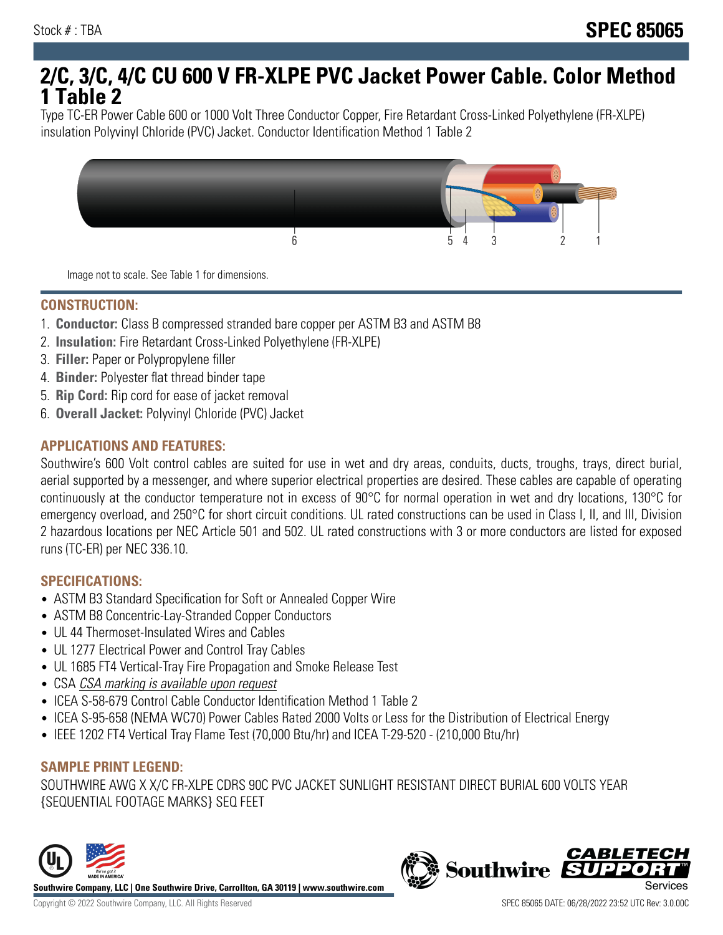# **2/C, 3/C, 4/C CU 600 V FR-XLPE PVC Jacket Power Cable. Color Method 1 Table 2**

Type TC-ER Power Cable 600 or 1000 Volt Three Conductor Copper, Fire Retardant Cross-Linked Polyethylene (FR-XLPE) insulation Polyvinyl Chloride (PVC) Jacket. Conductor Identification Method 1 Table 2



Image not to scale. See Table 1 for dimensions.

#### **CONSTRUCTION:**

- 1. **Conductor:** Class B compressed stranded bare copper per ASTM B3 and ASTM B8
- 2. **Insulation:** Fire Retardant Cross-Linked Polyethylene (FR-XLPE)
- 3. **Filler:** Paper or Polypropylene filler
- 4. **Binder:** Polyester flat thread binder tape
- 5. **Rip Cord:** Rip cord for ease of jacket removal
- 6. **Overall Jacket:** Polyvinyl Chloride (PVC) Jacket

### **APPLICATIONS AND FEATURES:**

Southwire's 600 Volt control cables are suited for use in wet and dry areas, conduits, ducts, troughs, trays, direct burial, aerial supported by a messenger, and where superior electrical properties are desired. These cables are capable of operating continuously at the conductor temperature not in excess of 90°C for normal operation in wet and dry locations, 130°C for emergency overload, and 250°C for short circuit conditions. UL rated constructions can be used in Class I, II, and III, Division 2 hazardous locations per NEC Article 501 and 502. UL rated constructions with 3 or more conductors are listed for exposed runs (TC-ER) per NEC 336.10.

#### **SPECIFICATIONS:**

- ASTM B3 Standard Specification for Soft or Annealed Copper Wire
- ASTM B8 Concentric-Lay-Stranded Copper Conductors
- UL 44 Thermoset-Insulated Wires and Cables
- UL 1277 Electrical Power and Control Tray Cables
- UL 1685 FT4 Vertical-Tray Fire Propagation and Smoke Release Test
- CSA CSA marking is available upon request
- ICEA S-58-679 Control Cable Conductor Identification Method 1 Table 2
- ICEA S-95-658 (NEMA WC70) Power Cables Rated 2000 Volts or Less for the Distribution of Electrical Energy
- IEEE 1202 FT4 Vertical Tray Flame Test (70,000 Btu/hr) and ICEA T-29-520 (210,000 Btu/hr)

## **SAMPLE PRINT LEGEND:**

SOUTHWIRE AWG X X/C FR-XLPE CDRS 90C PVC JACKET SUNLIGHT RESISTANT DIRECT BURIAL 600 VOLTS YEAR {SEQUENTIAL FOOTAGE MARKS} SEQ FEET



**Southwire** 

**CABLETE**